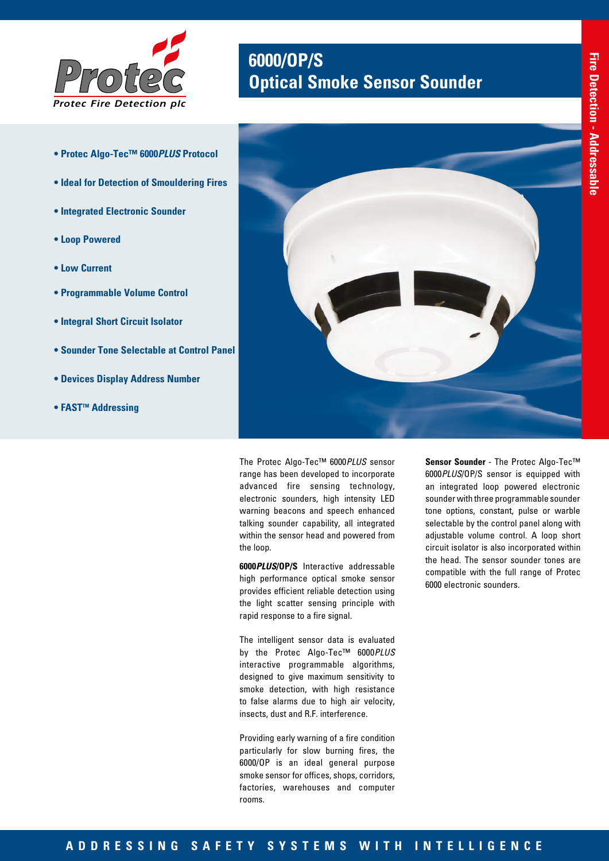

- 
- **Ideal for Detection of Smouldering Fires**

**• Protec Algo-Tec™ 6000***PLUS* **Protocol** 

- **Integrated Electronic Sounder**
- **Loop Powered**
- **Low Current**
- **Programmable Volume Control**
- **Integral Short Circuit Isolator**
- **Sounder Tone Selectable at Control Panel**
- **Devices Display Address Number**
- **FAST<sup>™</sup> Addressing**



**6000/OP/S** *Protec* **Optical Smoke Sensor Sounder**

The Protec Algo-Tec™ 6000*PLUS* sensor range has been developed to incorporate advanced fire sensing technology, electronic sounders, high intensity LED warning beacons and speech enhanced talking sounder capability, all integrated within the sensor head and powered from the loop.

**6000***PLUS***/OP/S** Interactive addressable high performance optical smoke sensor provides efficient reliable detection using the light scatter sensing principle with rapid response to a fire signal.

The intelligent sensor data is evaluated by the Protec Algo-Tec™ 6000*PLUS* interactive programmable algorithms, designed to give maximum sensitivity to smoke detection, with high resistance to false alarms due to high air velocity, insects, dust and R.F. interference.

Providing early warning of a fire condition particularly for slow burning fires, the 6000/OP is an ideal general purpose smoke sensor for offices, shops, corridors, factories, warehouses and computer rooms.

**Sensor Sounder** - The Protec Algo-Tec™ 6000*PLUS*/OP/S sensor is equipped with an integrated loop powered electronic sounder with three programmable sounder tone options, constant, pulse or warble selectable by the control panel along with adjustable volume control. A loop short circuit isolator is also incorporated within the head. The sensor sounder tones are compatible with the full range of Protec 6000 electronic sounders.